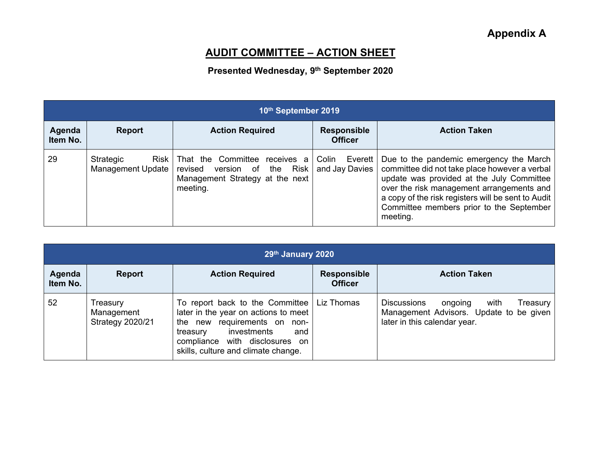## **AUDIT COMMITTEE – ACTION SHEET**

## **Presented Wednesday, 9 th September 2020**

| 10th September 2019 |                                        |                                                                                                             |                                      |                                                                                                                                                                                                                                                                                                  |
|---------------------|----------------------------------------|-------------------------------------------------------------------------------------------------------------|--------------------------------------|--------------------------------------------------------------------------------------------------------------------------------------------------------------------------------------------------------------------------------------------------------------------------------------------------|
| Agenda<br>Item No.  | Report                                 | <b>Action Required</b>                                                                                      | <b>Responsible</b><br><b>Officer</b> | <b>Action Taken</b>                                                                                                                                                                                                                                                                              |
| 29                  | Strategic<br>Risk<br>Management Update | That the Committee receives a<br>revised version of the Risk<br>Management Strategy at the next<br>meeting. | Event<br>Colin<br>and Jay Davies     | Due to the pandemic emergency the March<br>committee did not take place however a verbal<br>update was provided at the July Committee<br>over the risk management arrangements and<br>a copy of the risk registers will be sent to Audit<br>Committee members prior to the September<br>meeting. |

| 29th January 2020  |                                                   |                                                                                                                                                                                                                                       |                                      |                                                                                                                              |
|--------------------|---------------------------------------------------|---------------------------------------------------------------------------------------------------------------------------------------------------------------------------------------------------------------------------------------|--------------------------------------|------------------------------------------------------------------------------------------------------------------------------|
| Agenda<br>Item No. | <b>Report</b>                                     | <b>Action Required</b>                                                                                                                                                                                                                | <b>Responsible</b><br><b>Officer</b> | <b>Action Taken</b>                                                                                                          |
| 52                 | Treasury<br>Management<br><b>Strategy 2020/21</b> | To report back to the Committee $\vert$ Liz Thomas<br>later in the year on actions to meet<br>the new requirements on non-<br>investments<br>treasury<br>and<br>compliance with disclosures on<br>skills, culture and climate change. |                                      | <b>Discussions</b><br>Treasury<br>with<br>ongoing<br>Management Advisors. Update to be given<br>later in this calendar year. |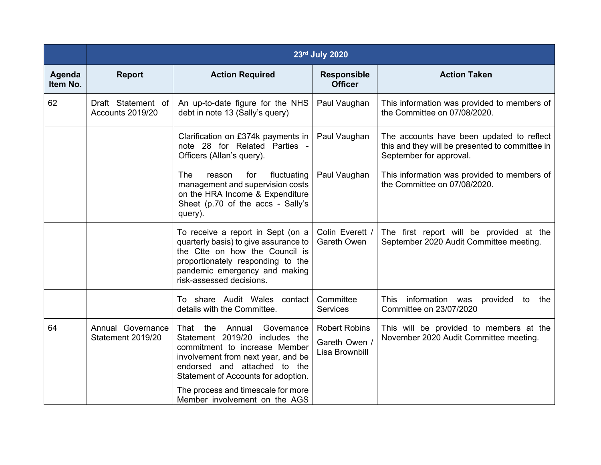|                    | 23rd July 2020                         |                                                                                                                                                                                                                                                                                         |                                                       |                                                                                                                         |
|--------------------|----------------------------------------|-----------------------------------------------------------------------------------------------------------------------------------------------------------------------------------------------------------------------------------------------------------------------------------------|-------------------------------------------------------|-------------------------------------------------------------------------------------------------------------------------|
| Agenda<br>Item No. | <b>Report</b>                          | <b>Action Required</b>                                                                                                                                                                                                                                                                  | <b>Responsible</b><br><b>Officer</b>                  | <b>Action Taken</b>                                                                                                     |
| 62                 | Draft Statement of<br>Accounts 2019/20 | An up-to-date figure for the NHS<br>debt in note 13 (Sally's query)                                                                                                                                                                                                                     | Paul Vaughan                                          | This information was provided to members of<br>the Committee on 07/08/2020.                                             |
|                    |                                        | Clarification on £374k payments in<br>note 28 for Related Parties -<br>Officers (Allan's query).                                                                                                                                                                                        | Paul Vaughan                                          | The accounts have been updated to reflect<br>this and they will be presented to committee in<br>September for approval. |
|                    |                                        | The<br>for<br>fluctuating<br>reason<br>management and supervision costs<br>on the HRA Income & Expenditure<br>Sheet (p.70 of the accs - Sally's<br>query).                                                                                                                              | Paul Vaughan                                          | This information was provided to members of<br>the Committee on 07/08/2020.                                             |
|                    |                                        | To receive a report in Sept (on a<br>quarterly basis) to give assurance to<br>the Ctte on how the Council is<br>proportionately responding to the<br>pandemic emergency and making<br>risk-assessed decisions.                                                                          | Colin Everett /<br>Gareth Owen                        | The first report will be provided at the<br>September 2020 Audit Committee meeting.                                     |
|                    |                                        | To share Audit Wales contact<br>details with the Committee.                                                                                                                                                                                                                             | Committee<br><b>Services</b>                          | information was<br><b>This</b><br>provided to<br>the<br>Committee on 23/07/2020                                         |
| 64                 | Annual Governance<br>Statement 2019/20 | That the<br>Annual<br>Governance<br>Statement 2019/20 includes the<br>commitment to increase Member<br>involvement from next year, and be<br>endorsed and attached to the<br>Statement of Accounts for adoption.<br>The process and timescale for more<br>Member involvement on the AGS | <b>Robert Robins</b><br>Gareth Owen<br>Lisa Brownbill | This will be provided to members at the<br>November 2020 Audit Committee meeting.                                       |